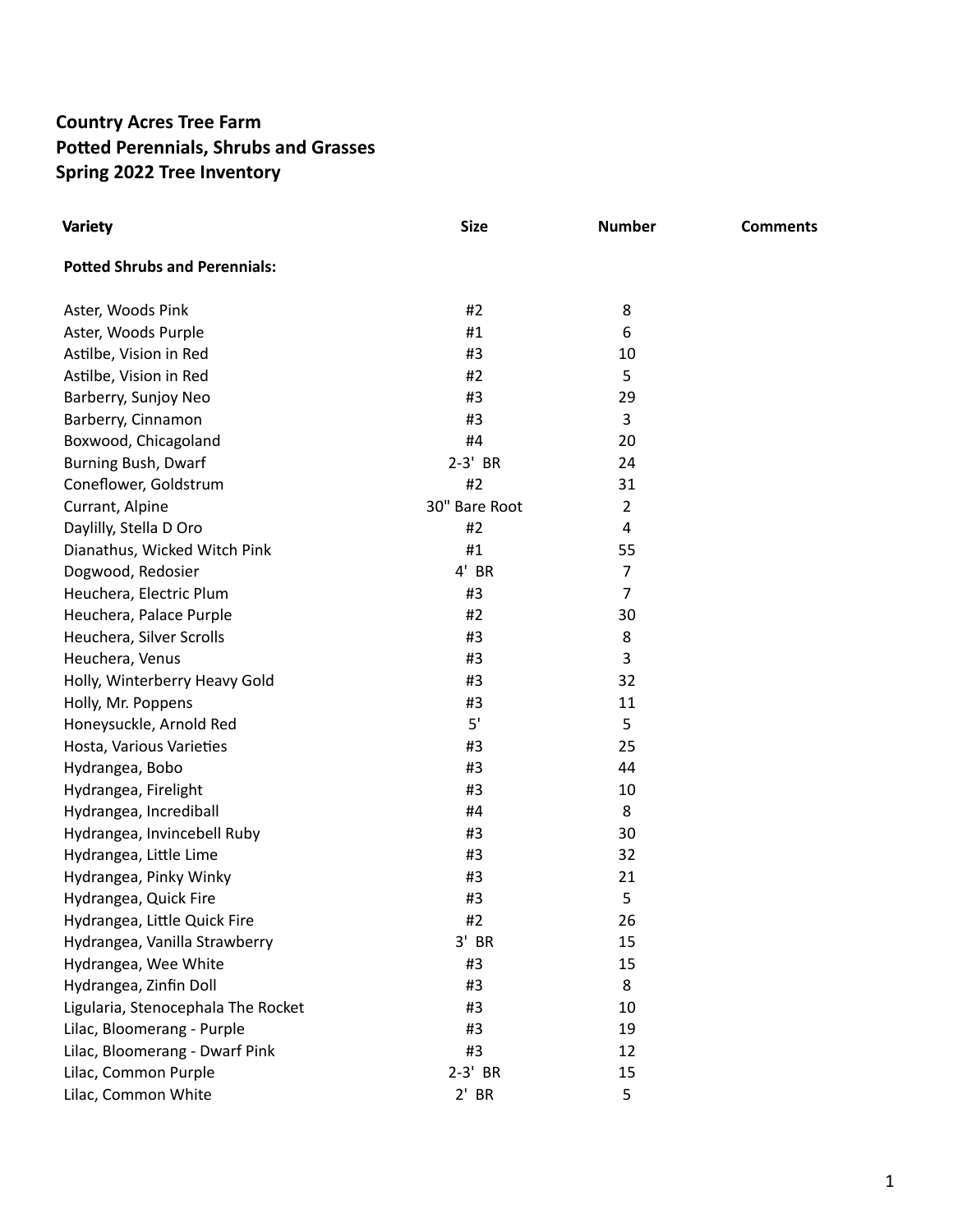## **Country Acres Tree Farm Potted Perennials, Shrubs and Grasses Spring 2022 Tree Inventory**

| <b>Variety</b>                       | <b>Size</b>   | <b>Number</b>  | <b>Comments</b> |
|--------------------------------------|---------------|----------------|-----------------|
| <b>Potted Shrubs and Perennials:</b> |               |                |                 |
| Aster, Woods Pink                    | #2            | 8              |                 |
| Aster, Woods Purple                  | #1            | 6              |                 |
| Astilbe, Vision in Red               | #3            | 10             |                 |
| Astilbe, Vision in Red               | #2            | 5              |                 |
| Barberry, Sunjoy Neo                 | #3            | 29             |                 |
| Barberry, Cinnamon                   | #3            | 3              |                 |
| Boxwood, Chicagoland                 | #4            | 20             |                 |
| Burning Bush, Dwarf                  | $2-3'$ BR     | 24             |                 |
| Coneflower, Goldstrum                | #2            | 31             |                 |
| Currant, Alpine                      | 30" Bare Root | 2              |                 |
| Daylilly, Stella D Oro               | #2            | 4              |                 |
| Dianathus, Wicked Witch Pink         | #1            | 55             |                 |
| Dogwood, Redosier                    | $4'$ BR       | 7              |                 |
| Heuchera, Electric Plum              | #3            | $\overline{7}$ |                 |
| Heuchera, Palace Purple              | #2            | 30             |                 |
| Heuchera, Silver Scrolls             | #3            | 8              |                 |
| Heuchera, Venus                      | #3            | 3              |                 |
| Holly, Winterberry Heavy Gold        | #3            | 32             |                 |
| Holly, Mr. Poppens                   | #3            | 11             |                 |
| Honeysuckle, Arnold Red              | 5'            | 5              |                 |
| Hosta, Various Varieties             | #3            | 25             |                 |
| Hydrangea, Bobo                      | #3            | 44             |                 |
| Hydrangea, Firelight                 | #3            | 10             |                 |
| Hydrangea, Incrediball               | #4            | 8              |                 |
| Hydrangea, Invincebell Ruby          | #3            | 30             |                 |
| Hydrangea, Little Lime               | #3            | 32             |                 |
| Hydrangea, Pinky Winky               | #3            | 21             |                 |
| Hydrangea, Quick Fire                | #3            | 5              |                 |
| Hydrangea, Little Quick Fire         | #2            | 26             |                 |
| Hydrangea, Vanilla Strawberry        | $3'$ BR       | 15             |                 |
| Hydrangea, Wee White                 | #3            | 15             |                 |
| Hydrangea, Zinfin Doll               | #3            | 8              |                 |
| Ligularia, Stenocephala The Rocket   | #3            | 10             |                 |
| Lilac, Bloomerang - Purple           | #3            | 19             |                 |
| Lilac, Bloomerang - Dwarf Pink       | #3            | 12             |                 |
| Lilac, Common Purple                 | $2-3'$ BR     | 15             |                 |
| Lilac, Common White                  | $2'$ BR       | 5              |                 |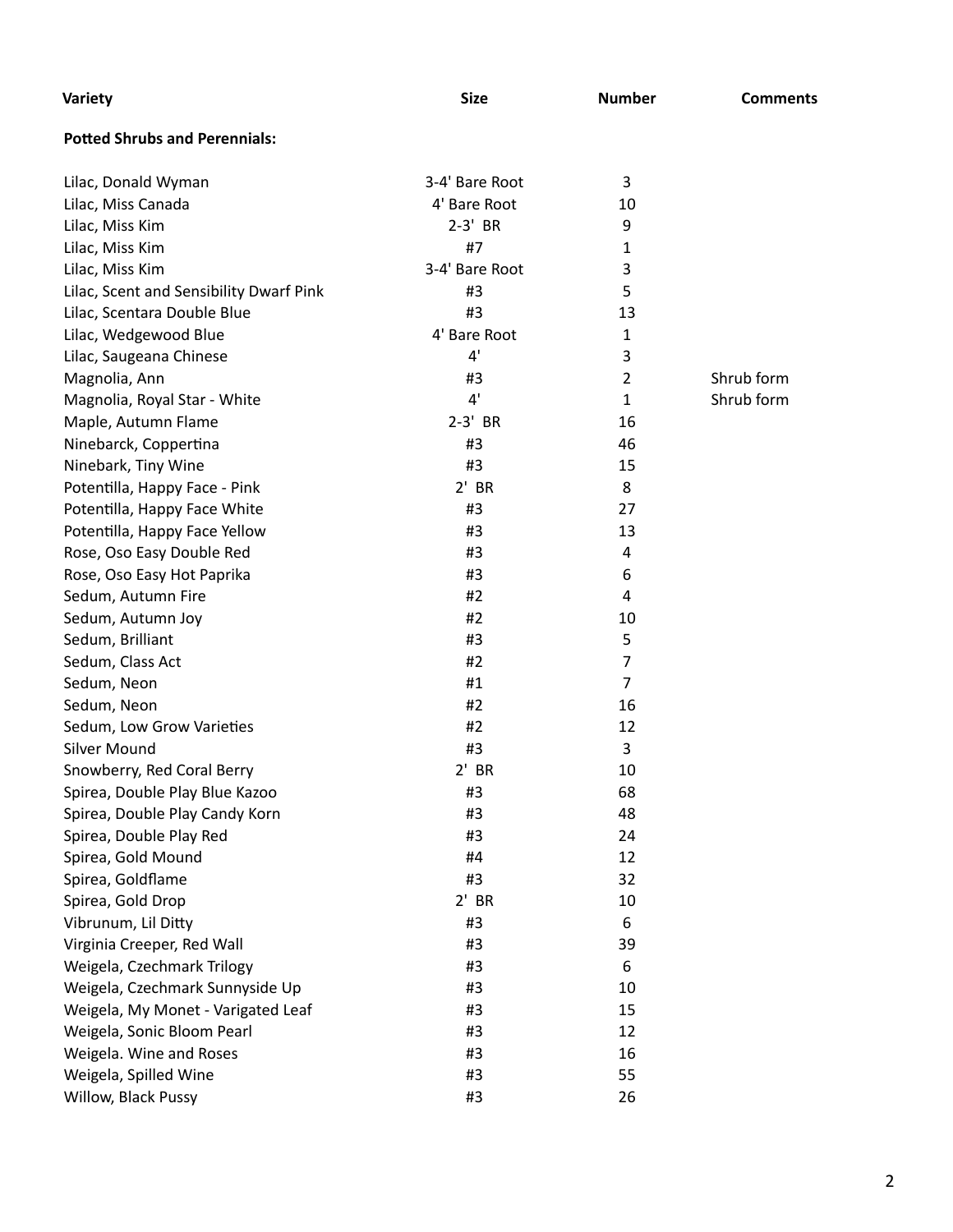| Variety                                 | <b>Size</b>    | <b>Number</b>  | <b>Comments</b> |
|-----------------------------------------|----------------|----------------|-----------------|
| <b>Potted Shrubs and Perennials:</b>    |                |                |                 |
| Lilac, Donald Wyman                     | 3-4' Bare Root | 3              |                 |
| Lilac, Miss Canada                      | 4' Bare Root   | 10             |                 |
| Lilac, Miss Kim                         | 2-3' BR        | 9              |                 |
| Lilac, Miss Kim                         | #7             | 1              |                 |
| Lilac, Miss Kim                         | 3-4' Bare Root | 3              |                 |
| Lilac, Scent and Sensibility Dwarf Pink | #3             | 5              |                 |
| Lilac, Scentara Double Blue             | #3             | 13             |                 |
| Lilac, Wedgewood Blue                   | 4' Bare Root   | 1              |                 |
| Lilac, Saugeana Chinese                 | 4'             | 3              |                 |
| Magnolia, Ann                           | #3             | $\overline{2}$ | Shrub form      |
| Magnolia, Royal Star - White            | 4'             | $\mathbf{1}$   | Shrub form      |
| Maple, Autumn Flame                     | $2-3'$ BR      | 16             |                 |
| Ninebarck, Coppertina                   | #3             | 46             |                 |
| Ninebark, Tiny Wine                     | #3             | 15             |                 |
| Potentilla, Happy Face - Pink           | $2'$ BR        | 8              |                 |
| Potentilla, Happy Face White            | #3             | 27             |                 |
| Potentilla, Happy Face Yellow           | #3             | 13             |                 |
| Rose, Oso Easy Double Red               | #3             | 4              |                 |
| Rose, Oso Easy Hot Paprika              | #3             | 6              |                 |
| Sedum, Autumn Fire                      | #2             | 4              |                 |
| Sedum, Autumn Joy                       | #2             | 10             |                 |
| Sedum, Brilliant                        | #3             | 5              |                 |
| Sedum, Class Act                        | #2             | $\overline{7}$ |                 |
| Sedum, Neon                             | #1             | $\overline{7}$ |                 |
| Sedum, Neon                             | #2             | 16             |                 |
| Sedum, Low Grow Varieties               | #2             | 12             |                 |
| <b>Silver Mound</b>                     | #3             | 3              |                 |
| Snowberry, Red Coral Berry              | $2'$ BR        | 10             |                 |
| Spirea, Double Play Blue Kazoo          | #3             | 68             |                 |
| Spirea, Double Play Candy Korn          | #3             | 48             |                 |
| Spirea, Double Play Red                 | #3             | 24             |                 |
| Spirea, Gold Mound                      | #4             | 12             |                 |
| Spirea, Goldflame                       | #3             | 32             |                 |
| Spirea, Gold Drop                       | $2'$ BR        | 10             |                 |
| Vibrunum, Lil Ditty                     | #3             | 6              |                 |
| Virginia Creeper, Red Wall              | #3             | 39             |                 |
| Weigela, Czechmark Trilogy              | #3             | 6              |                 |
| Weigela, Czechmark Sunnyside Up         | #3             | 10             |                 |
| Weigela, My Monet - Varigated Leaf      | #3             | 15             |                 |
| Weigela, Sonic Bloom Pearl              | #3             | 12             |                 |
| Weigela. Wine and Roses                 | #3             | 16             |                 |
| Weigela, Spilled Wine                   | #3             | 55             |                 |
| Willow, Black Pussy                     | #3             | 26             |                 |